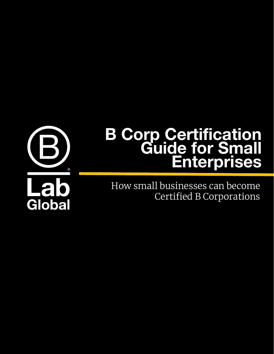

# **B Corp Certification Guide for Small Enterprises**

How small businesses can become Certified B Corporations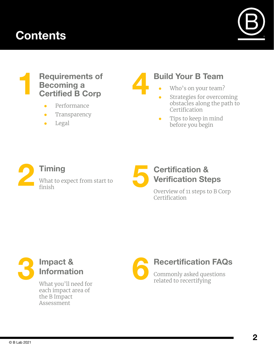## **Contents**



#### **1 Requirements of Becoming a Certified B Corp**

- Performance
- Transparency
- Legal

# **4**

### **Build Your B Team**

- Who's on your team?
- Strategies for overcoming obstacles along the path to Certification
- Tips to keep in mind before you begin

## **Timing** What to expect from start to finish



#### **Certification & Verification Steps**

Overview of 11 steps to B Corp Certification



What you'll need for each impact area of the B Impact Assessment

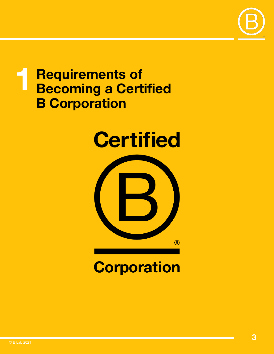

## **1 Requirements of Becoming a Certified B Corporation**





# **Corporation**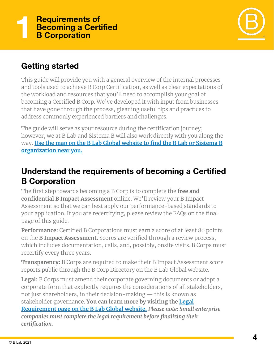

#### **Getting started**

This guide will provide you with a general overview of the internal processes and tools used to achieve B Corp Certification, as well as clear expectations of the workload and resources that you'll need to accomplish your goal of becoming a Certified B Corp. We've developed it with input from businesses that have gone through the process, gleaning useful tips and practices to address commonly experienced barriers and challenges.

The guide will serve as your resource during the certification journey; however, we at B Lab and Sistema B will also work directly with you along the way. **[Use the map on the B Lab Global website to find the B Lab or Sistema B](https://bcorporation.net/movement/global-network) [organization near you.](https://bcorporation.net/movement/global-network)**

#### **Understand the requirements of becoming a Certified B Corporation**

The first step towards becoming a B Corp is to complete the **free and confidential B Impact Assessment** online. We'll review your B Impact Assessment so that we can best apply our performance-based standards to your application. If you are recertifying, please review the FAQs on the final page of this guide.

**Performance:** Certified B Corporations must earn a score of at least 80 points on the **B Impact Assessment.** Scores are verified through a review process, which includes documentation, calls, and, possibly, onsite visits. B Corps must recertify every three years.

**Transparency:** B Corps are required to make their B Impact Assessment score reports public through the B Corp Directory on the B Lab Global website.

**Legal:** B Corps must amend their corporate governing documents or adopt a corporate form that explicitly requires the considerations of all stakeholders, not just shareholders, in their decision-making — this is known as stakeholder governance. **You can learn more by visiting the [Legal](https://www.bcorporation.net/en-us/about-b-corps/legal-requirements) [Requirement page on the B Lab Global website.](https://www.bcorporation.net/en-us/about-b-corps/legal-requirements)** *Please note: Small enterprise companies must complete the legal requirement before finalizing their certification.*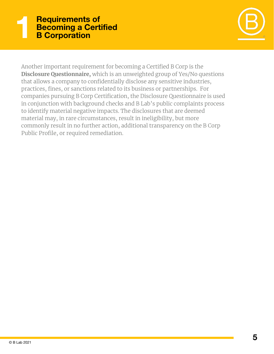#### **1 Requirements of Becoming a Certified B Corporation**



Another important requirement for becoming a Certified B Corp is the **Disclosure Questionnaire,** which is an unweighted group of Yes/No questions that allows a company to confidentially disclose any sensitive industries, practices, fines, or sanctions related to its business or partnerships. For companies pursuing B Corp Certification, the Disclosure Questionnaire is used in conjunction with background checks and B Lab's public complaints process to identify material negative impacts. The disclosures that are deemed material may, in rare circumstances, result in ineligibility, but more commonly result in no further action, additional transparency on the B Corp Public Profile, or required remediation.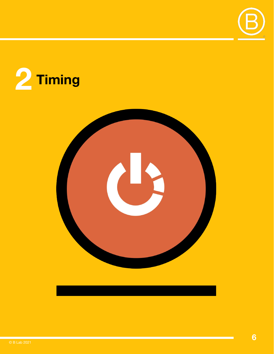



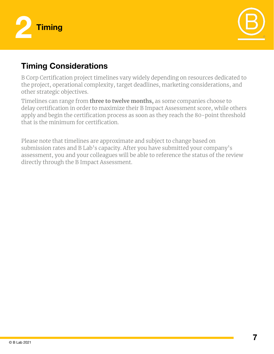



#### **Timing Considerations**

B Corp Certification project timelines vary widely depending on resources dedicated to the project, operational complexity, target deadlines, marketing considerations, and other strategic objectives.

Timelines can range from **three to twelve months,** as some companies choose to delay certification in order to maximize their B Impact Assessment score, while others apply and begin the certification process as soon as they reach the 80-point threshold that is the minimum for certification.

Please note that timelines are approximate and subject to change based on submission rates and B Lab's capacity. After you have submitted your company's assessment, you and your colleagues will be able to reference the status of the review directly through the B Impact Assessment.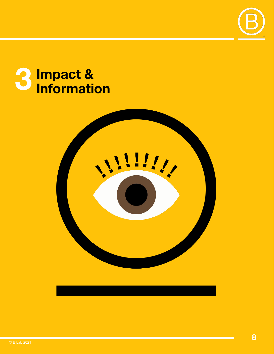

# Impact &

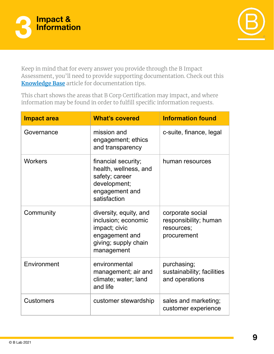



Keep in mind that for every answer you provide through the B Impact Assessment, you'll need to provide supporting documentation. Check out this **[Knowledge Base](https://kb.bimpactassessment.net/en/support/solutions/articles/43000501783-preparing-for-the-assessment-review-documentation-tips)** article for documentation tips.

This chart shows the areas that B Corp Certification may impact, and where information may be found in order to fulfill specific information requests.

| <b>Impact area</b> | <b>What's covered</b>                                                                                                  | <b>Information found</b>                                               |
|--------------------|------------------------------------------------------------------------------------------------------------------------|------------------------------------------------------------------------|
| Governance         | mission and<br>engagement; ethics<br>and transparency                                                                  | c-suite, finance, legal                                                |
| <b>Workers</b>     | financial security;<br>health, wellness, and<br>safety; career<br>development;<br>engagement and<br>satisfaction       | human resources                                                        |
| Community          | diversity, equity, and<br>inclusion; economic<br>impact; civic<br>engagement and<br>giving; supply chain<br>management | corporate social<br>responsibility; human<br>resources;<br>procurement |
| Environment        | environmental<br>management; air and<br>climate; water; land<br>and life                                               | purchasing;<br>sustainability; facilities<br>and operations            |
| <b>Customers</b>   | customer stewardship                                                                                                   | sales and marketing;<br>customer experience                            |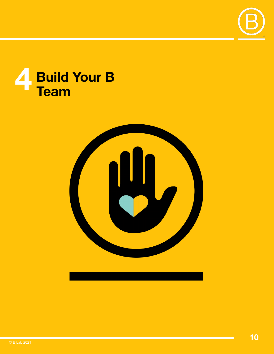

# **Build Your B Team**



© B Lab 2021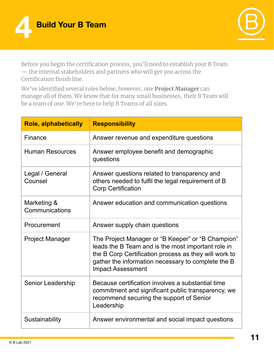



Before you begin the certification process, you'll need to establish your B Team — the internal stakeholders and partners who will get you across the Certification finish line.

We've identified several roles below; however, one **Project Manager** can manage all of them. We know that for many small businesses, their B Team will be a team of one. We're here to help B Teams of all sizes.

| <b>Role, alphabetically</b>   | <b>Responsibility</b>                                                                                                                                                                                                                              |
|-------------------------------|----------------------------------------------------------------------------------------------------------------------------------------------------------------------------------------------------------------------------------------------------|
| Finance                       | Answer revenue and expenditure questions                                                                                                                                                                                                           |
| <b>Human Resources</b>        | Answer employee benefit and demographic<br>questions                                                                                                                                                                                               |
| Legal / General<br>Counsel    | Answer questions related to transparency and<br>others needed to fulfil the legal requirement of B<br><b>Corp Certification</b>                                                                                                                    |
| Marketing &<br>Communications | Answer education and communication questions                                                                                                                                                                                                       |
| Procurement                   | Answer supply chain questions                                                                                                                                                                                                                      |
| <b>Project Manager</b>        | The Project Manager or "B Keeper" or "B Champion"<br>leads the B Team and is the most important role in<br>the B Corp Certification process as they will work to<br>gather the information necessary to complete the B<br><b>Impact Assessment</b> |
| <b>Senior Leadership</b>      | Because certification involves a substantial time<br>commitment and significant public transparency, we<br>recommend securing the support of Senior<br>Leadership                                                                                  |
| Sustainability                | Answer environmental and social impact questions                                                                                                                                                                                                   |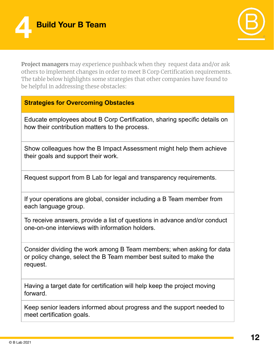



**Project managers** may experience pushback when they request data and/or ask others to implement changes in order to meet B Corp Certification requirements. The table below highlights some strategies that other companies have found to be helpful in addressing these obstacles:

#### **Strategies for Overcoming Obstacles**

Educate employees about B Corp Certification, sharing specific details on how their contribution matters to the process.

Show colleagues how the B Impact Assessment might help them achieve their goals and support their work.

Request support from B Lab for legal and transparency requirements.

If your operations are global, consider including a B Team member from each language group.

To receive answers, provide a list of questions in advance and/or conduct one-on-one interviews with information holders.

Consider dividing the work among B Team members; when asking for data or policy change, select the B Team member best suited to make the request.

Having a target date for certification will help keep the project moving forward.

Keep senior leaders informed about progress and the support needed to meet certification goals.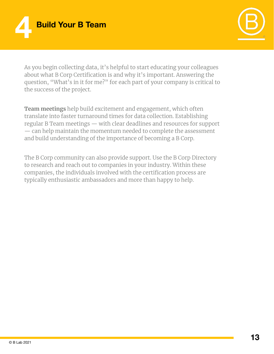



As you begin collecting data, it's helpful to start educating your colleagues about what B Corp Certification is and why it's important. Answering the question, "What's in it for me?" for each part of your company is critical to the success of the project.

**Team meetings** help build excitement and engagement, which often translate into faster turnaround times for data collection. Establishing regular B Team meetings — with clear deadlines and resources for support — can help maintain the momentum needed to complete the assessment and build understanding of the importance of becoming a B Corp.

The B Corp community can also provide support. Use the B Corp Directory to research and reach out to companies in your industry. Within these companies, the individuals involved with the certification process are typically enthusiastic ambassadors and more than happy to help.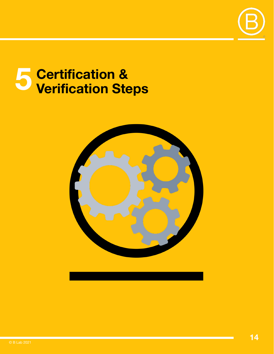

# **5 Certification & Verification Steps**

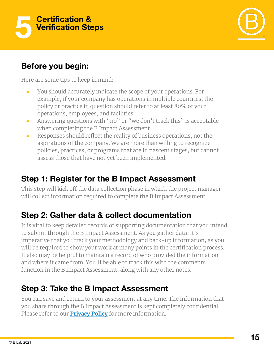



#### **Before you begin:**

Here are some tips to keep in mind:

- You should accurately indicate the scope of your operations. For example, if your company has operations in multiple countries, the policy or practice in question should refer to at least 80% of your operations, employees, and facilities.
- Answering questions with "no" or "we don't track this" is acceptable when completing the B Impact Assessment.
- Responses should reflect the reality of business operations, not the aspirations of the company. We are more than willing to recognize policies, practices, or programs that are in nascent stages, but cannot assess those that have not yet been implemented.

## **Step 1: Register for the B Impact Assessment**

This step will kick off the data collection phase in which the project manager will collect information required to complete the B Impact Assessment.

#### **Step 2: Gather data & collect documentation**

It is vital to keep detailed records of supporting documentation that you intend to submit through the B Impact Assessment. As you gather data, it's imperative that you track your methodology and back-up information, as you will be required to show your work at many points in the certification process. It also may be helpful to maintain a record of who provided the information and where it came from. You'll be able to track this with the comments function in the B Impact Assessment, along with any other notes.

#### **Step 3: Take the B Impact Assessment**

You can save and return to your assessment at any time. The information that you share through the B Impact Assessment is kept completely confidential. Please refer to our **[Privacy Policy](https://bcorporation.net/privacy-policy)** for more information.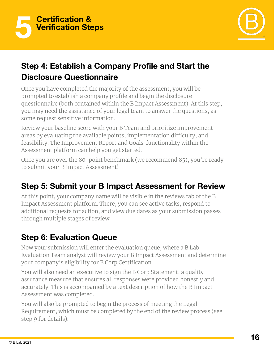



#### **Step 4: Establish a Company Profile and Start the Disclosure Questionnaire**

Once you have completed the majority of the assessment, you will be prompted to establish a company profile and begin the disclosure questionnaire (both contained within the B Impact Assessment). At this step, you may need the assistance of your legal team to answer the questions, as some request sensitive information.

Review your baseline score with your B Team and prioritize improvement areas by evaluating the available points, implementation difficulty, and feasibility. The Improvement Report and Goals functionality within the Assessment platform can help you get started.

Once you are over the 80-point benchmark (we recommend 85), you're ready to submit your B Impact Assessment!

## **Step 5: Submit your B Impact Assessment for Review**

At this point, your company name will be visible in the reviews tab of the B Impact Assessment platform. There, you can see active tasks, respond to additional requests for action, and view due dates as your submission passes through multiple stages of review.

## **Step 6: Evaluation Queue**

Now your submission will enter the evaluation queue, where a B Lab Evaluation Team analyst will review your B Impact Assessment and determine your company's eligibility for B Corp Certification.

You will also need an executive to sign the B Corp Statement, a quality assurance measure that ensures all responses were provided honestly and accurately. This is accompanied by a text description of how the B Impact Assessment was completed.

You will also be prompted to begin the process of meeting the Legal Requirement, which must be completed by the end of the review process (see step 9 for details).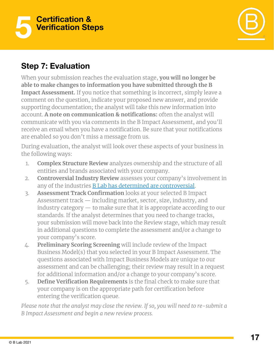



#### **Step 7: Evaluation**

When your submission reaches the evaluation stage, **you will no longer be able to make changes to information you have submitted through the B Impact Assessment.** If you notice that something is incorrect, simply leave a comment on the question, indicate your proposed new answer, and provide supporting documentation; the analyst will take this new information into account. **A note on communication & notifications:** often the analyst will communicate with you via comments in the B Impact Assessment, and you'll receive an email when you have a notification. Be sure that your notifications are enabled so you don't miss a message from us.

During evaluation, the analyst will look over these aspects of your business in the following ways:

- 1. **Complex Structure Review** analyzes ownership and the structure of all entities and brands associated with your company.
- 2. **Controversial Industry Review** assesses your company's involvement in any of the industries [B Lab has determined are controversial](https://bcorporation.net/standards/controversial-issues).
- 3. **Assessment Track Confirmation** looks at your selected B Impact Assessment track — including market, sector, size, industry, and industry category — to make sure that it is appropriate according to our standards. If the analyst determines that you need to change tracks, your submission will move back into the Review stage, which may result in additional questions to complete the assessment and/or a change to your company's score.
- 4. **Preliminary Scoring Screening** will include review of the Impact Business Model(s) that you selected in your B Impact Assessment. The questions associated with Impact Business Models are unique to our assessment and can be challenging; their review may result in a request for additional information and/or a change to your company's score.
- 5. **Define Verification Requirements** is the final check to make sure that your company is on the appropriate path for certification before entering the verification queue.

*Please note that the analyst may close the review. If so, you will need to re-submit a B Impact Assessment and begin a new review process.*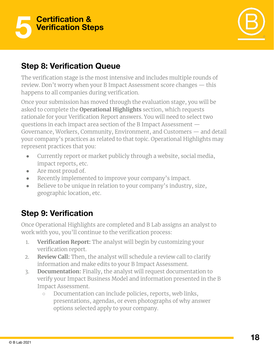



#### **Step 8: Verification Queue**

The verification stage is the most intensive and includes multiple rounds of review. Don't worry when your B Impact Assessment score changes — this happens to all companies during verification.

Once your submission has moved through the evaluation stage, you will be asked to complete the **Operational Highlights** section, which requests rationale for your Verification Report answers. You will need to select two questions in each impact area section of the B Impact Assessment — Governance, Workers, Community, Environment, and Customers — and detail your company's practices as related to that topic. Operational Highlights may represent practices that you:

- Currently report or market publicly through a website, social media, impact reports, etc.
- Are most proud of.
- Recently implemented to improve your company's impact.
- Believe to be unique in relation to your company's industry, size, geographic location, etc.

## **Step 9: Verification**

Once Operational Highlights are completed and B Lab assigns an analyst to work with you, you'll continue to the verification process:

- 1. **Verification Report:** The analyst will begin by customizing your verification report.
- 2. **Review Call:** Then, the analyst will schedule a review call to clarify information and make edits to your B Impact Assessment.
- 3. **Documentation:** Finally, the analyst will request documentation to verify your Impact Business Model and information presented in the B Impact Assessment.
	- Documentation can include policies, reports, web links, presentations, agendas, or even photographs of why answer options selected apply to your company.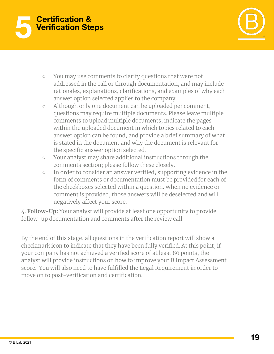



- You may use comments to clarify questions that were not addressed in the call or through documentation, and may include rationales, explanations, clarifications, and examples of why each answer option selected applies to the company.
- Although only one document can be uploaded per comment, questions may require multiple documents. Please leave multiple comments to upload multiple documents, indicate the pages within the uploaded document in which topics related to each answer option can be found, and provide a brief summary of what is stated in the document and why the document is relevant for the specific answer option selected.
- Your analyst may share additional instructions through the comments section; please follow these closely.
- In order to consider an answer verified, supporting evidence in the form of comments or documentation must be provided for each of the checkboxes selected within a question. When no evidence or comment is provided, those answers will be deselected and will negatively affect your score.

4. **Follow-Up:** Your analyst will provide at least one opportunity to provide follow-up documentation and comments after the review call.

By the end of this stage, all questions in the verification report will show a checkmark icon to indicate that they have been fully verified. At this point, if your company has not achieved a verified score of at least 80 points, the analyst will provide instructions on how to improve your B Impact Assessment score. You will also need to have fulfilled the Legal Requirement in order to move on to post-verification and certification.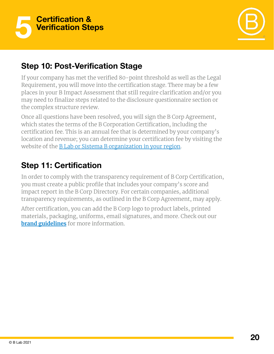



#### **Step 10: Post-Verification Stage**

If your company has met the verified 80-point threshold as well as the Legal Requirement, you will move into the certification stage. There may be a few places in your B Impact Assessment that still require clarification and/or you may need to finalize steps related to the disclosure questionnaire section or the complex structure review.

Once all questions have been resolved, you will sign the B Corp Agreement, which states the terms of the B Corporation Certification, including the certification fee. This is an annual fee that is determined by your company's location and revenue; you can determine your certification fee by visiting the website of the **B Lab or Sistema B organization in your region**.

#### **Step 11: Certification**

In order to comply with the transparency requirement of B Corp Certification, you must create a public profile that includes your company's score and impact report in the B Corp Directory. For certain companies, additional transparency requirements, as outlined in the B Corp Agreement, may apply.

After certification, you can add the B Corp logo to product labels, printed materials, packaging, uniforms, email signatures, and more. Check out our **[brand guidelines](https://bcorporation.net/certification/resources)** for more information.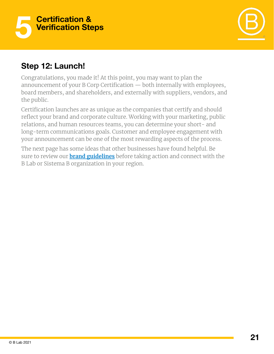



#### **Step 12: Launch!**

Congratulations, you made it! At this point, you may want to plan the announcement of your B Corp Certification — both internally with employees, board members, and shareholders, and externally with suppliers, vendors, and the public.

Certification launches are as unique as the companies that certify and should reflect your brand and corporate culture. Working with your marketing, public relations, and human resources teams, you can determine your short- and long-term communications goals. Customer and employee engagement with your announcement can be one of the most rewarding aspects of the process.

The next page has some ideas that other businesses have found helpful. Be sure to review our **[brand guidelines](https://bcorporation.net/certification/resources)** before taking action and connect with the B Lab or Sistema B organization in your region.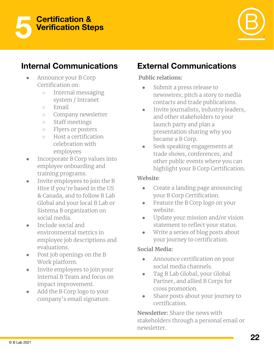



#### **Internal Communications**

- Announce your B Corp Certification on:
	- Internal messaging system / Intranet
	- Email
	- Company newsletter
	- Staff meetings
	- Flyers or posters
	- Host a certification celebration with employees
- Incorporate B Corp values into employee onboarding and training programs.
- Invite employees to join the B Hive if you're based in the US & Canada, and to follow B Lab Global and your local B Lab or Sistema B organization on social media.
- Include social and environmental metrics in employee job descriptions and evaluations.
- Post job openings on the B Work platform.
- Invite employees to join your internal B Team and focus on impact improvement.
- Add the B Corp logo to your company's email signature.

## **External Communications**

#### **Public relations:**

- Submit a press release to newswires; pitch a story to media contacts and trade publications.
- Invite journalists, industry leaders, and other stakeholders to your launch party and plan a presentation sharing why you became a B Corp.
- Seek speaking engagements at trade shows, conferences, and other public events where you can highlight your B Corp Certification.

#### **Website**:

- Create a landing page announcing your B Corp Certification.
- Feature the B Corp logo on your website.
- Update your mission and/or vision statement to reflect your status.
- Write a series of blog posts about your journey to certification.

#### **Social Media:**

- Announce certification on your social media channels.
- Tag B Lab Global, your Global Partner, and allied B Corps for cross promotion.
- Share posts about your journey to certification.

**Newsletter:** Share the news with stakeholders through a personal email or newsletter.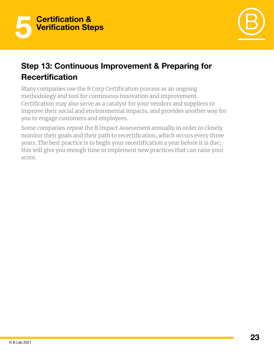



#### **Step 13: Continuous Improvement & Preparing for Recertification**

Many companies use the B Corp Certification process as an ongoing methodology and tool for continuous innovation and improvement. Certification may also serve as a catalyst for your vendors and suppliers to improve their social and environmental impacts, and provides another way for you to engage customers and employees.

Some companies repeat the B Impact Assessment annually in order to closely monitor their goals and their path to recertification, which occurs every three years. The best practice is to begin your recertification a year before it is due; this will give you enough time to implement new practices that can raise your score.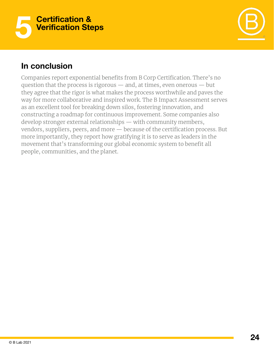



#### **In conclusion**

Companies report exponential benefits from B Corp Certification. There's no question that the process is rigorous — and, at times, even onerous — but they agree that the rigor is what makes the process worthwhile and paves the way for more collaborative and inspired work. The B Impact Assessment serves as an excellent tool for breaking down silos, fostering innovation, and constructing a roadmap for continuous improvement. Some companies also develop stronger external relationships — with community members, vendors, suppliers, peers, and more — because of the certification process. But more importantly, they report how gratifying it is to serve as leaders in the movement that's transforming our global economic system to benefit all people, communities, and the planet.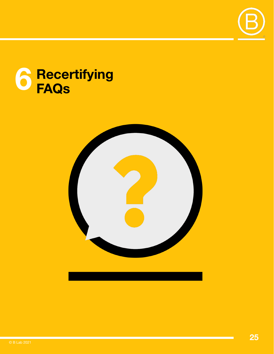